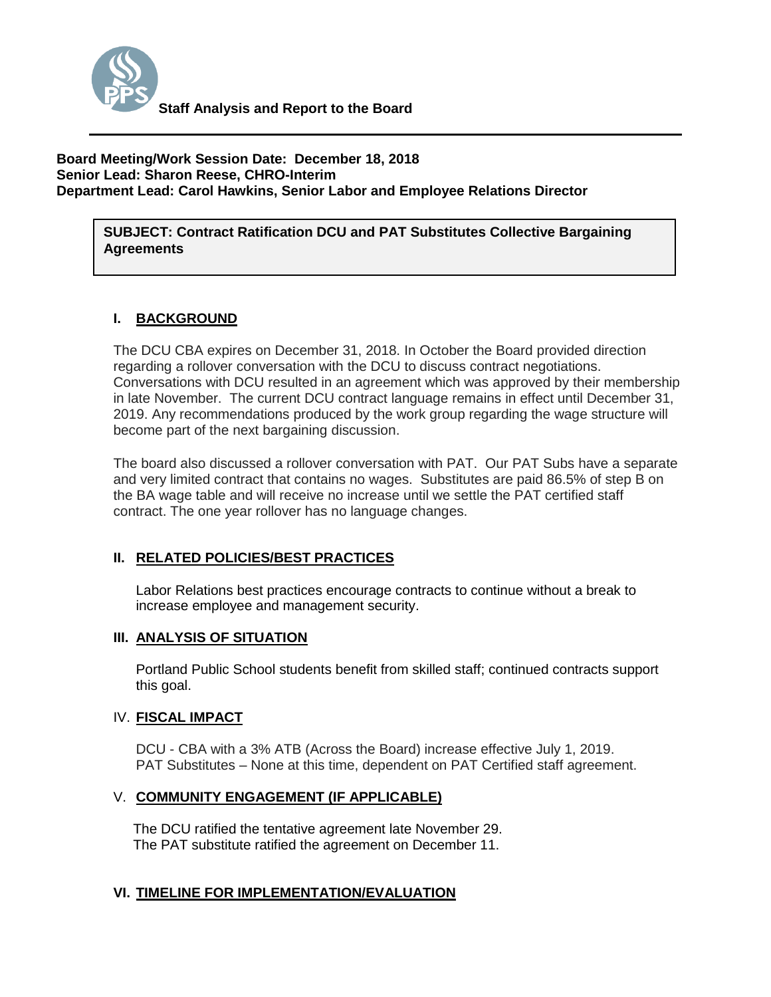

#### **Board Meeting/Work Session Date: December 18, 2018 Senior Lead: Sharon Reese, CHRO-Interim Department Lead: Carol Hawkins, Senior Labor and Employee Relations Director**

**SUBJECT: Contract Ratification DCU and PAT Substitutes Collective Bargaining Agreements**

# **I. BACKGROUND**

The DCU CBA expires on December 31, 2018. In October the Board provided direction regarding a rollover conversation with the DCU to discuss contract negotiations. Conversations with DCU resulted in an agreement which was approved by their membership in late November. The current DCU contract language remains in effect until December 31, 2019. Any recommendations produced by the work group regarding the wage structure will become part of the next bargaining discussion.

The board also discussed a rollover conversation with PAT. Our PAT Subs have a separate and very limited contract that contains no wages. Substitutes are paid 86.5% of step B on the BA wage table and will receive no increase until we settle the PAT certified staff contract. The one year rollover has no language changes.

## **II. RELATED POLICIES/BEST PRACTICES**

Labor Relations best practices encourage contracts to continue without a break to increase employee and management security.

#### **III. ANALYSIS OF SITUATION**

Portland Public School students benefit from skilled staff; continued contracts support this goal.

#### IV. **FISCAL IMPACT**

DCU - CBA with a 3% ATB (Across the Board) increase effective July 1, 2019. PAT Substitutes – None at this time, dependent on PAT Certified staff agreement.

#### V. **COMMUNITY ENGAGEMENT (IF APPLICABLE)**

The DCU ratified the tentative agreement late November 29. The PAT substitute ratified the agreement on December 11.

## **VI. TIMELINE FOR IMPLEMENTATION/EVALUATION**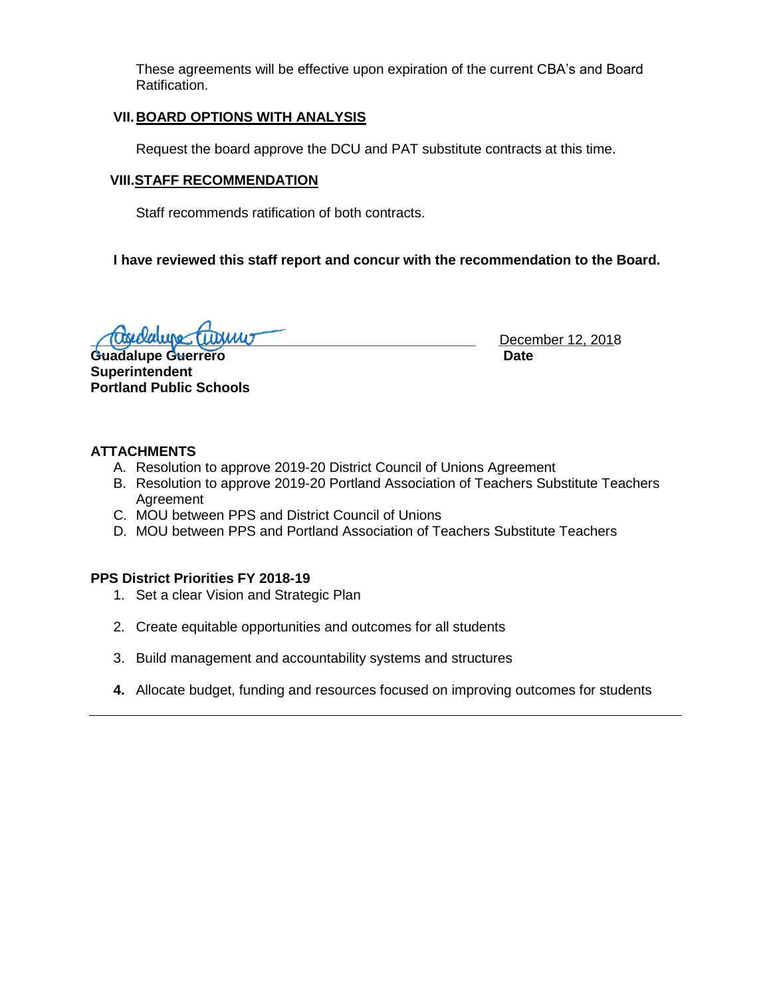These agreements will be effective upon expiration of the current CBA's and Board Ratification.

## **VII.BOARD OPTIONS WITH ANALYSIS**

Request the board approve the DCU and PAT substitute contracts at this time.

# **VIII.STAFF RECOMMENDATION**

Staff recommends ratification of both contracts.

**I have reviewed this staff report and concur with the recommendation to the Board.**

**\_\_\_\_\_\_\_\_\_\_\_\_\_\_\_\_\_\_\_\_\_\_\_\_\_\_\_\_\_\_\_\_\_\_\_\_\_\_\_\_\_\_\_\_\_\_\_\_\_\_ \_\_\_\_\_\_\_\_\_\_\_\_\_\_\_** December 12, 2018

**Guadalupe Guerrero Date Superintendent Portland Public Schools**

## **ATTACHMENTS**

- A. Resolution to approve 2019-20 District Council of Unions Agreement
- B. Resolution to approve 2019-20 Portland Association of Teachers Substitute Teachers Agreement
- C. MOU between PPS and District Council of Unions
- D. MOU between PPS and Portland Association of Teachers Substitute Teachers

## **PPS District Priorities FY 2018-19**

- 1. Set a clear Vision and Strategic Plan
- 2. Create equitable opportunities and outcomes for all students
- 3. Build management and accountability systems and structures
- **4.** Allocate budget, funding and resources focused on improving outcomes for students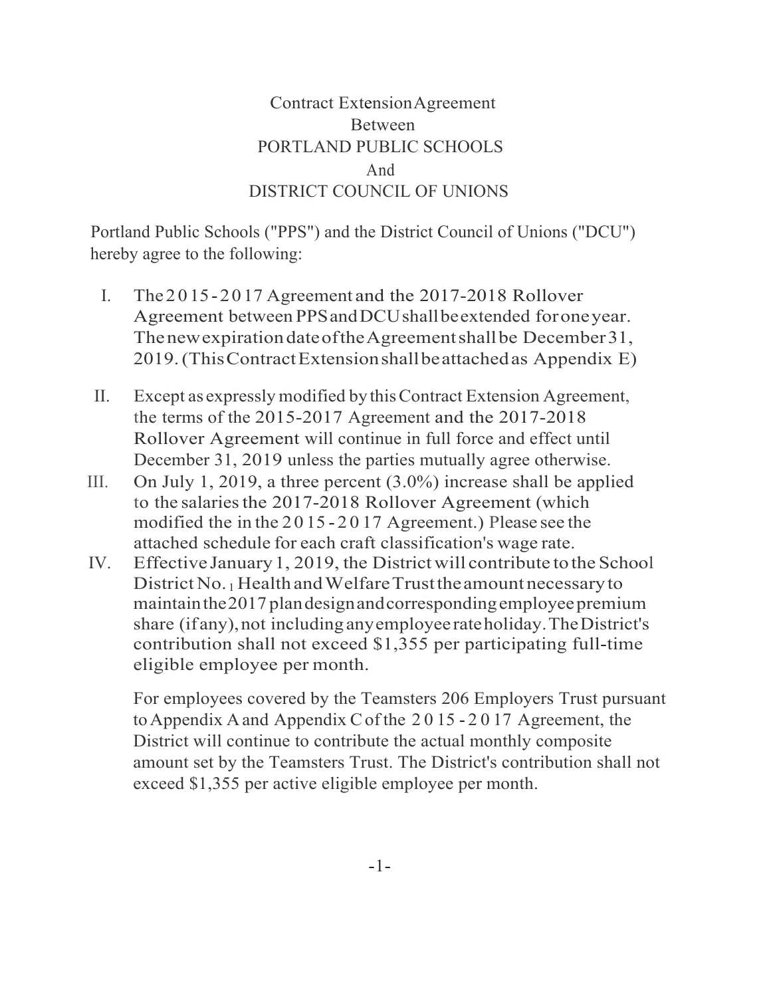# Contract ExtensionAgreement Between PORTLAND PUBLIC SCHOOLS And DISTRICT COUNCIL OF UNIONS

Portland Public Schools ("PPS") and the District Council of Unions ("DCU") hereby agree to the following:

- I. The 20 15-2017 Agreement and the 2017-2018 Rollover Agreement between PPSandDCUshallbeextended foroneyear. ThenewexpirationdateoftheAgreementshallbe December31, 2019.(ThisContractExtensionshallbeattachedas Appendix E)
- II. Except as expressly modified bythisContract Extension Agreement, the terms of the 2015-2017 Agreement and the 2017-2018 Rollover Agreement will continue in full force and effect until December 31, 2019 unless the parties mutually agree otherwise.
- III. On July 1, 2019, a three percent  $(3.0\%)$  increase shall be applied to the salaries the 2017-2018 Rollover Agreement (which modified the in the 20 15 - 2 0 17 Agreement.) Please see the attached schedule for each craft classification's wage rate.
- IV. Effective January 1, 2019, the District will contribute to the School District No. 1 Health and Welfare Trust the amount necessary to maintain the 2017 plan design and corresponding employee premium share (if any), not including any employee rateholiday. The District's contribution shall not exceed \$1,355 per participating full-time eligible employee per month.

For employees covered by the Teamsters 206 Employers Trust pursuant toAppendix Aand Appendix Cof the 2 0 15 - 2 0 17 Agreement, the District will continue to contribute the actual monthly composite amount set by the Teamsters Trust. The District's contribution shall not exceed \$1,355 per active eligible employee per month.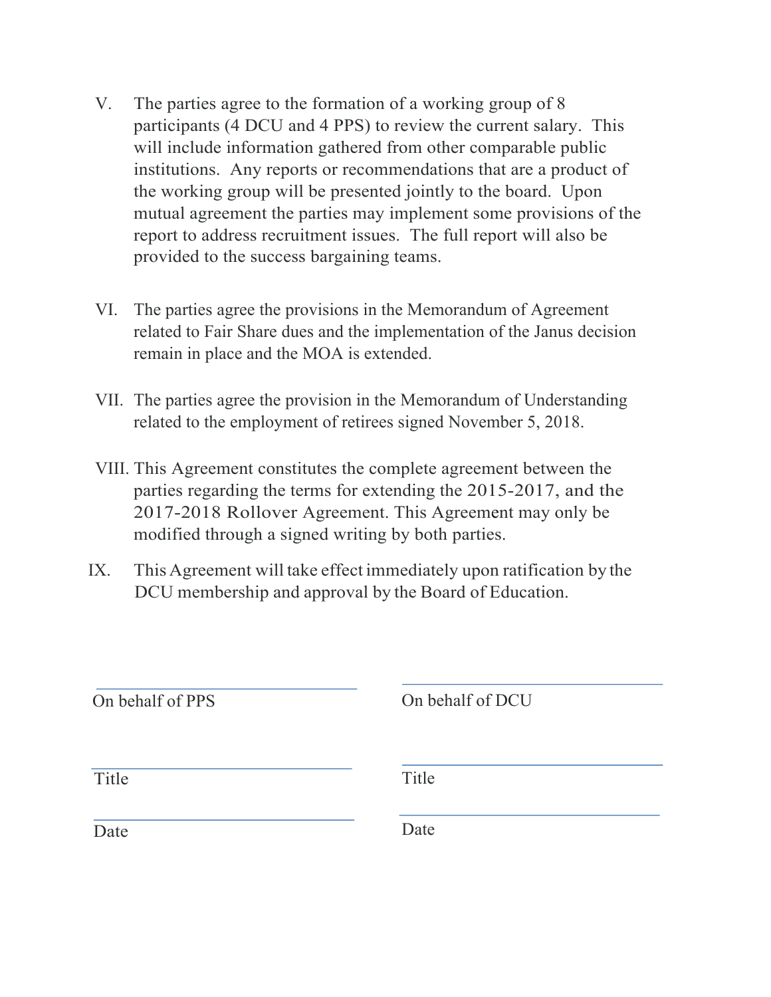- V. The parties agree to the formation of a working group of 8 participants (4 DCU and 4 PPS) to review the current salary. This will include information gathered from other comparable public institutions. Any reports or recommendations that are a product of the working group will be presented jointly to the board. Upon mutual agreement the parties may implement some provisions of the report to address recruitment issues. The full report will also be provided to the success bargaining teams.
- VI. The parties agree the provisions in the Memorandum of Agreement related to Fair Share dues and the implementation of the Janus decision remain in place and the MOA is extended.
- VII. The parties agree the provision in the Memorandum of Understanding related to the employment of retirees signed November 5, 2018.
- VIII. This Agreement constitutes the complete agreement between the parties regarding the terms for extending the 2015-2017, and the 2017-2018 Rollover Agreement. This Agreement may only be modified through a signed writing by both parties.
- IX. This Agreement will take effect immediately upon ratification by the DCU membership and approval by the Board of Education.

| On behalf of PPS | On behalf of DCU |
|------------------|------------------|
| Title            | Title            |
| Date             | Date             |